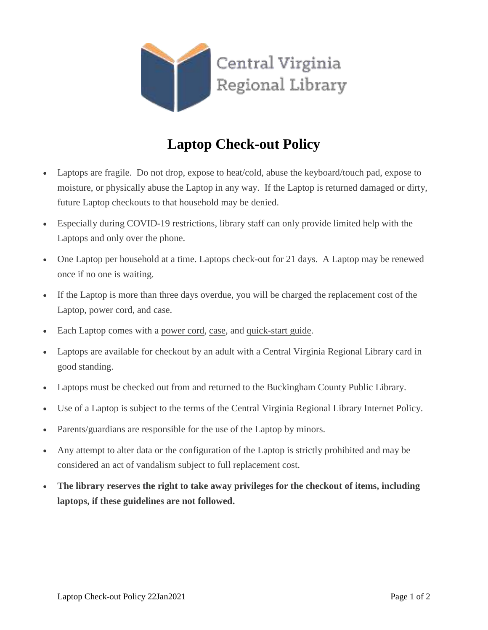

## **Laptop Check-out Policy**

- Laptops are fragile. Do not drop, expose to heat/cold, abuse the keyboard/touch pad, expose to moisture, or physically abuse the Laptop in any way. If the Laptop is returned damaged or dirty, future Laptop checkouts to that household may be denied.
- Especially during COVID-19 restrictions, library staff can only provide limited help with the Laptops and only over the phone.
- One Laptop per household at a time. Laptops check-out for 21 days. A Laptop may be renewed once if no one is waiting.
- If the Laptop is more than three days overdue, you will be charged the replacement cost of the Laptop, power cord, and case.
- Each Laptop comes with a power cord, case, and quick-start guide.
- Laptops are available for checkout by an adult with a Central Virginia Regional Library card in good standing.
- Laptops must be checked out from and returned to the Buckingham County Public Library.
- Use of a Laptop is subject to the terms of the Central Virginia Regional Library Internet Policy.
- Parents/guardians are responsible for the use of the Laptop by minors.
- Any attempt to alter data or the configuration of the Laptop is strictly prohibited and may be considered an act of vandalism subject to full replacement cost.
- **The library reserves the right to take away privileges for the checkout of items, including laptops, if these guidelines are not followed.**